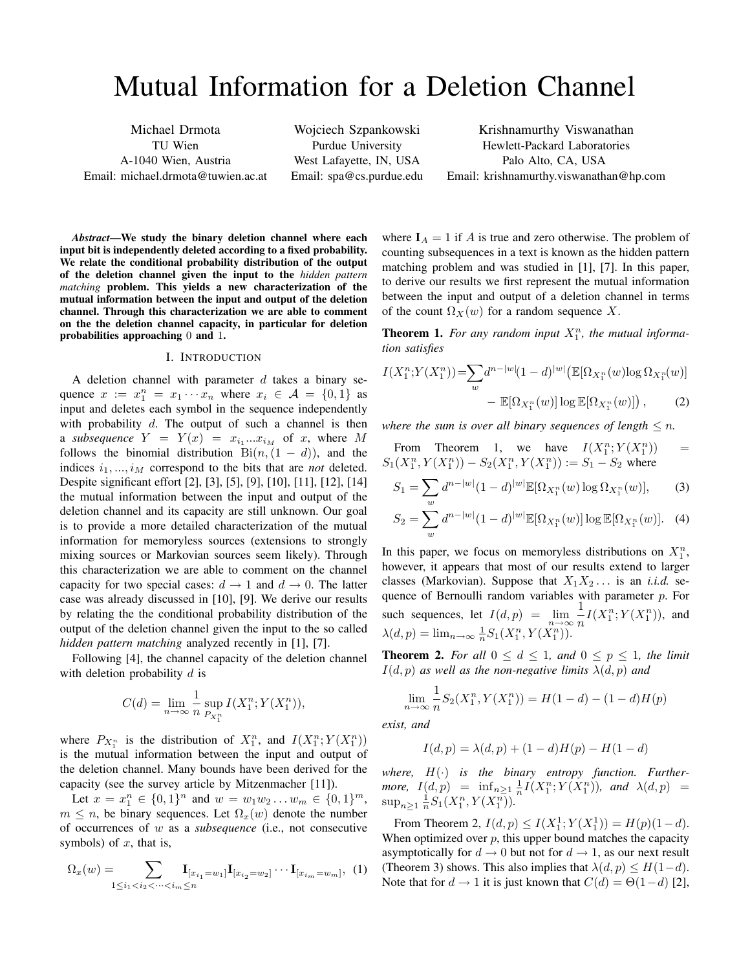# Mutual Information for a Deletion Channel

Michael Drmota TU Wien A-1040 Wien, Austria Email: michael.drmota@tuwien.ac.at

Wojciech Szpankowski Purdue University West Lafayette, IN, USA Email: spa@cs.purdue.edu

Krishnamurthy Viswanathan Hewlett-Packard Laboratories Palo Alto, CA, USA Email: krishnamurthy.viswanathan@hp.com

*Abstract*—We study the binary deletion channel where each input bit is independently deleted according to a fixed probability. We relate the conditional probability distribution of the output of the deletion channel given the input to the *hidden pattern matching* problem. This yields a new characterization of the mutual information between the input and output of the deletion channel. Through this characterization we are able to comment on the the deletion channel capacity, in particular for deletion probabilities approaching 0 and 1.

### I. INTRODUCTION

A deletion channel with parameter  $d$  takes a binary sequence  $x := x_1^n = x_1 \cdots x_n$  where  $x_i \in \mathcal{A} = \{0, 1\}$  as input and deletes each symbol in the sequence independently with probability  $d$ . The output of such a channel is then a *subsequence*  $Y = Y(x) = x_{i_1}...x_{i_M}$  of x, where M follows the binomial distribution  $\text{Bi}(n,(1-d))$ , and the indices  $i_1, ..., i_M$  correspond to the bits that are *not* deleted. Despite significant effort [2], [3], [5], [9], [10], [11], [12], [14] the mutual information between the input and output of the deletion channel and its capacity are still unknown. Our goal is to provide a more detailed characterization of the mutual information for memoryless sources (extensions to strongly mixing sources or Markovian sources seem likely). Through this characterization we are able to comment on the channel capacity for two special cases:  $d \rightarrow 1$  and  $d \rightarrow 0$ . The latter case was already discussed in [10], [9]. We derive our results by relating the the conditional probability distribution of the output of the deletion channel given the input to the so called *hidden pattern matching* analyzed recently in [1], [7].

Following [4], the channel capacity of the deletion channel with deletion probability  $d$  is

$$
C(d) = \lim_{n \to \infty} \frac{1}{n} \sup_{P_{X_1^n}} I(X_1^n; Y(X_1^n)),
$$

where  $P_{X_1^n}$  is the distribution of  $X_1^n$ , and  $I(X_1^n; Y(X_1^n))$ is the mutual information between the input and output of the deletion channel. Many bounds have been derived for the capacity (see the survey article by Mitzenmacher [11]).

Let  $x = x_1^n \in \{0,1\}^n$  and  $w = w_1w_2 \ldots w_m \in \{0,1\}^m$ ,  $m \leq n$ , be binary sequences. Let  $\Omega_x(w)$  denote the number of occurrences of w as a *subsequence* (i.e., not consecutive symbols) of  $x$ , that is,

$$
\Omega_x(w) = \sum_{1 \le i_1 < i_2 < \cdots < i_m \le n} \mathbf{I}_{[x_{i_1} = w_1]} \mathbf{I}_{[x_{i_2} = w_2]} \cdots \mathbf{I}_{[x_{i_m} = w_m]}, \tag{1}
$$

where  $I_A = 1$  if A is true and zero otherwise. The problem of counting subsequences in a text is known as the hidden pattern matching problem and was studied in [1], [7]. In this paper, to derive our results we first represent the mutual information between the input and output of a deletion channel in terms of the count  $\Omega_X(w)$  for a random sequence X.

**Theorem 1.** For any random input  $X_1^n$ , the mutual informa*tion satisfies*

$$
I(X_1^n; Y(X_1^n)) = \sum_{w} d^{n-|w|} (1-d)^{|w|} (\mathbb{E}[\Omega_{X_1^n}(w) \log \Omega_{X_1^n}(w))
$$

$$
- \mathbb{E}[\Omega_{X_1^n}(w)] \log \mathbb{E}[\Omega_{X_1^n}(w)] , \qquad (2)
$$

*where the sum is over all binary sequences of length*  $\leq n$ *.* 

From Theorem 1, we have 
$$
I(X_1^n; Y(X_1^n)) = S_1(X_1^n, Y(X_1^n)) - S_2(X_1^n, Y(X_1^n)) := S_1 - S_2
$$
 where

$$
S_1 = \sum_{w} d^{n-|w|} (1-d)^{|w|} \mathbb{E}[\Omega_{X_1^n}(w) \log \Omega_{X_1^n}(w)],\qquad(3)
$$

$$
S_2 = \sum_{w} d^{n-|w|} (1-d)^{|w|} \mathbb{E}[\Omega_{X_1^n}(w)] \log \mathbb{E}[\Omega_{X_1^n}(w)]. \quad (4)
$$

In this paper, we focus on memoryless distributions on  $X_1^n$ , however, it appears that most of our results extend to larger classes (Markovian). Suppose that  $X_1X_2...$  is an *i.i.d.* sequence of Bernoulli random variables with parameter  $p$ . For such sequences, let  $I(d, p) = \lim_{n \to \infty} \frac{1}{n}$  $\frac{1}{n}I(X_1^n; Y(X_1^n))$ , and  $\lambda(d, p) = \lim_{n \to \infty} \frac{1}{n} S_1(X_1^n, Y(X_1^n)).$ 

**Theorem 2.** For all  $0 \le d \le 1$ , and  $0 \le p \le 1$ , the limit  $I(d, p)$  *as well as the non-negative limits*  $\lambda(d, p)$  *and* 

$$
\lim_{n \to \infty} \frac{1}{n} S_2(X_1^n, Y(X_1^n)) = H(1-d) - (1-d)H(p)
$$

*exist, and*

$$
I(d, p) = \lambda(d, p) + (1 - d)H(p) - H(1 - d)
$$

*where,* H(·) *is the binary entropy function. Furthermore,*  $I(d, p) = \inf_{n \geq 1} \frac{1}{n} I(X_1^n; Y(X_1^n))$ *, and*  $\lambda(d, p) =$  $\sup_{n\geq 1} \frac{1}{n} S_1(X_1^n, Y(X_1^n)).$ 

From Theorem 2,  $I(d, p) \le I(X_1^1; Y(X_1^1)) = H(p)(1-d)$ . When optimized over  $p$ , this upper bound matches the capacity asymptotically for  $d \to 0$  but not for  $d \to 1$ , as our next result (Theorem 3) shows. This also implies that  $\lambda(d, p) \leq H(1-d)$ . Note that for  $d \to 1$  it is just known that  $C(d) = \Theta(1-d)$  [2],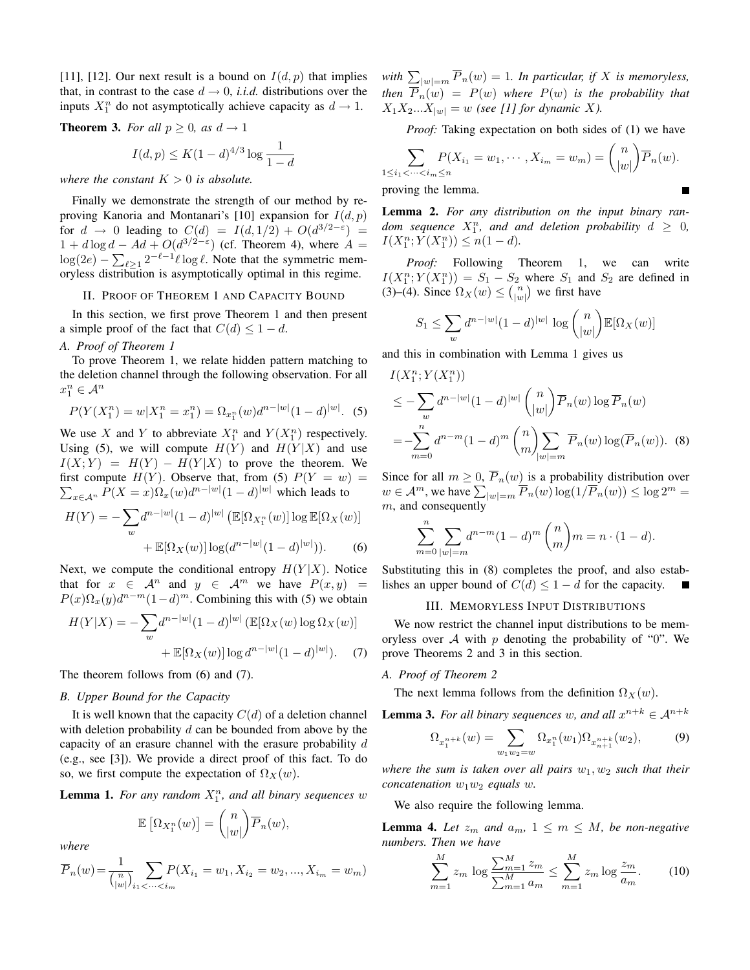[11], [12]. Our next result is a bound on  $I(d, p)$  that implies that, in contrast to the case  $d \rightarrow 0$ , *i.i.d.* distributions over the inputs  $X_1^n$  do not asymptotically achieve capacity as  $d \to 1$ .

**Theorem 3.** *For all*  $p \geq 0$ *, as*  $d \rightarrow 1$ 

$$
I(d,p) \leq K(1-d)^{4/3} \log \frac{1}{1-d}
$$

*where the constant*  $K > 0$  *is absolute.* 

Finally we demonstrate the strength of our method by reproving Kanoria and Montanari's [10] expansion for  $I(d, p)$ for  $d \rightarrow 0$  leading to  $C(d) = I(d, 1/2) + O(d^{3/2-\epsilon}) =$  $1 + d \log d - Ad + O(d^{3/2-\epsilon})$  (cf. Theorem 4), where  $A =$  $\log(2e) - \sum_{\ell \geq 1} 2^{-\ell-1} \ell \log \ell$ . Note that the symmetric memoryless distribution is asymptotically optimal in this regime.

#### II. PROOF OF THEOREM 1 AND CAPACITY BOUND

In this section, we first prove Theorem 1 and then present a simple proof of the fact that  $C(d) \leq 1 - d$ .

# *A. Proof of Theorem 1*

To prove Theorem 1, we relate hidden pattern matching to the deletion channel through the following observation. For all  $x_1^n \in \mathcal{A}^n$ 

$$
P(Y(X_1^n) = w | X_1^n = x_1^n) = \Omega_{x_1^n}(w) d^{n-|w|} (1-d)^{|w|}. \tag{5}
$$

We use X and Y to abbreviate  $X_1^n$  and  $Y(X_1^n)$  respectively. Using (5), we will compute  $H(Y)$  and  $H(Y|X)$  and use  $I(X;Y) = H(Y) - H(Y|X)$  to prove the theorem. We  $\sum_{x \in A^n} P(X = x) \Omega_x(w) d^{n-|w|} (1 - d)^{|w|}$  which leads to first compute  $H(Y)$ . Observe that, from (5)  $P(Y = w) =$ 

$$
H(Y) = -\sum_{w} d^{n-|w|} (1-d)^{|w|} \left( \mathbb{E}[\Omega_{X_1^n}(w)] \log \mathbb{E}[\Omega_X(w)] + \mathbb{E}[\Omega_X(w)] \log(d^{n-|w|}(1-d)^{|w|}) \right).
$$
 (6)

Next, we compute the conditional entropy  $H(Y|X)$ . Notice that for  $x \in \mathcal{A}^n$  and  $y \in \mathcal{A}^m$  we have  $P(x, y)$  $P(x)\Omega_x(y)d^{n-m}(1-d)^m$ . Combining this with (5) we obtain

$$
H(Y|X) = -\sum_{w} d^{n-|w|} (1-d)^{|w|} (\mathbb{E}[\Omega_X(w) \log \Omega_X(w)) + \mathbb{E}[\Omega_X(w)] \log d^{n-|w|} (1-d)^{|w|}). \tag{7}
$$

The theorem follows from (6) and (7).

#### *B. Upper Bound for the Capacity*

It is well known that the capacity  $C(d)$  of a deletion channel with deletion probability  $d$  can be bounded from above by the capacity of an erasure channel with the erasure probability d (e.g., see [3]). We provide a direct proof of this fact. To do so, we first compute the expectation of  $\Omega_X(w)$ .

**Lemma 1.** For any random  $X_1^n$ , and all binary sequences w

$$
\mathbb{E}\left[\Omega_{X_1^n}(w)\right] = \binom{n}{|w|} \overline{P}_n(w),
$$

*where*

$$
\overline{P}_n(w) = \frac{1}{\binom{n}{|w|}} \sum_{i_1 < \dots < i_m} P(X_{i_1} = w_1, X_{i_2} = w_2, \dots, X_{i_m} = w_m)
$$

with  $\sum_{|w|=m} \overline{P}_n(w) = 1$ . In particular, if X is memoryless, *then*  $\overline{P}_n(w) = P(w)$  *where*  $P(w)$  *is the probability that*  $X_1X_2...X_{|w|} = w$  *(see [1] for dynamic X).* 

*Proof:* Taking expectation on both sides of (1) we have

$$
\sum_{1 \le i_1 < \dots < i_m \le n} P(X_{i_1} = w_1, \dots, X_{i_m} = w_m) = \binom{n}{|w|} \overline{P}_n(w).
$$
\nproving the lemma.

proving the lemma.

Lemma 2. *For any distribution on the input binary ran* $dom$  sequence  $X_1^n$ , and and deletion probability  $d \geq 0$ ,  $I(X_1^n; Y(X_1^n)) \leq n(1-d).$ 

*Proof:* Following Theorem 1, we can write  $I(X_1^n; Y(X_1^n)) = S_1 - S_2$  where  $S_1$  and  $S_2$  are defined in (3)–(4). Since  $\Omega_X(w) \leq {n \choose |w|}$  we first have

$$
S_1 \le \sum_w d^{n-|w|} (1-d)^{|w|} \log \binom{n}{|w|} \mathbb{E}[\Omega_X(w)]
$$

and this in combination with Lemma 1 gives us

$$
I(X_1^n; Y(X_1^n))
$$
  
\n
$$
\leq -\sum_{w} d^{n-|w|} (1-d)^{|w|} {n \choose |w|} \overline{P}_n(w) \log \overline{P}_n(w)
$$
  
\n
$$
= -\sum_{m=0}^n d^{n-m} (1-d)^m {n \choose m} \sum_{|w|=m} \overline{P}_n(w) \log(\overline{P}_n(w)).
$$
 (8)

Since for all  $m \geq 0$ ,  $\overline{P}_n(w)$  is a probability distribution over  $w \in \mathcal{A}^m$ , we have  $\sum_{|w|=m} \overline{P}_n(w) \log(1/\overline{P}_n(w)) \le \log 2^m =$  $m$ , and consequently

$$
\sum_{m=0}^{n} \sum_{|w|=m} d^{n-m} (1-d)^m {n \choose m} m = n \cdot (1-d).
$$

Substituting this in  $(8)$  completes the proof, and also establishes an upper bound of  $C(d) \leq 1 - d$  for the capacity.

# III. MEMORYLESS INPUT DISTRIBUTIONS

We now restrict the channel input distributions to be memoryless over  $A$  with  $p$  denoting the probability of "0". We prove Theorems 2 and 3 in this section.

### *A. Proof of Theorem 2*

The next lemma follows from the definition  $\Omega_X(w)$ .

**Lemma 3.** For all binary sequences w, and all  $x^{n+k} \in A^{n+k}$ 

$$
\Omega_{x_1^{n+k}}(w) = \sum_{w_1w_2=w} \Omega_{x_1^n}(w_1)\Omega_{x_{n+1}^{n+k}}(w_2),\tag{9}
$$

*where the sum is taken over all pairs*  $w_1, w_2$  *such that their concatenation*  $w_1w_2$  *equals* w.

We also require the following lemma.

**Lemma 4.** Let  $z_m$  and  $a_m$ ,  $1 \leq m \leq M$ , be non-negative *numbers. Then we have*

$$
\sum_{m=1}^{M} z_m \log \frac{\sum_{m=1}^{M} z_m}{\sum_{m=1}^{M} a_m} \le \sum_{m=1}^{M} z_m \log \frac{z_m}{a_m}.
$$
 (10)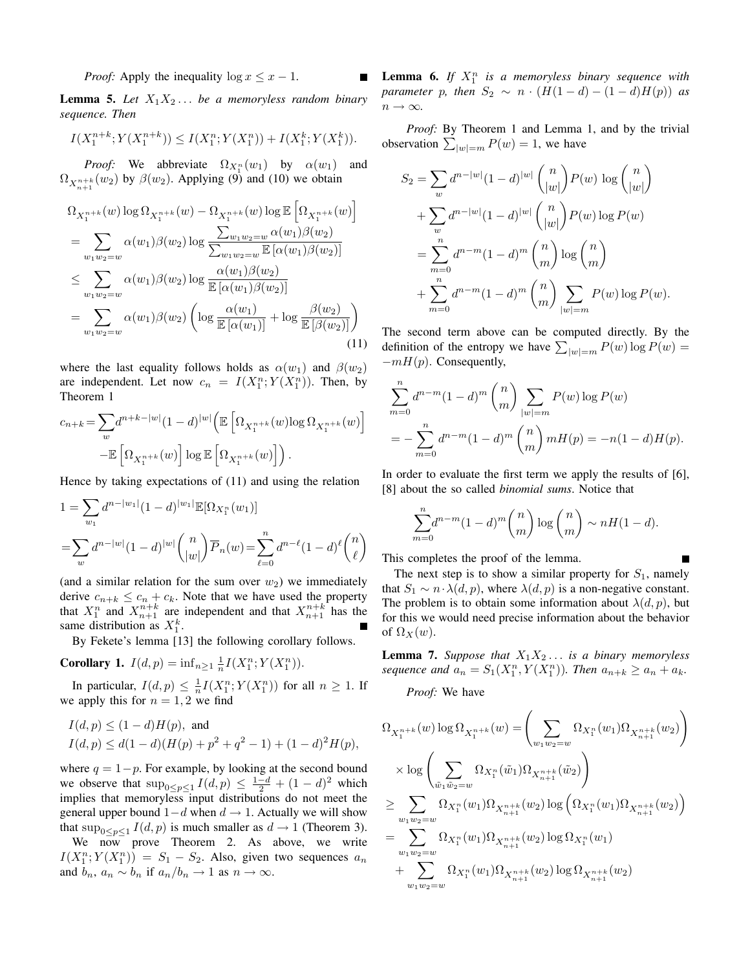*Proof:* Apply the inequality  $\log x \leq x - 1$ .

**Lemma 5.** Let  $X_1X_2...$  be a memoryless random binary *sequence. Then*

$$
I(X_1^{n+k}; Y(X_1^{n+k})) \le I(X_1^n; Y(X_1^n)) + I(X_1^k; Y(X_1^k)).
$$

*Proof:* We abbreviate  $\Omega_{X_1^n}(w_1)$  by  $\alpha(w_1)$  and  $\Omega_{X_{n+1}^{n+k}}(w_2)$  by  $\beta(w_2)$ . Applying (9) and (10) we obtain

$$
\Omega_{X_1^{n+k}}(w) \log \Omega_{X_1^{n+k}}(w) - \Omega_{X_1^{n+k}}(w) \log \mathbb{E} \left[ \Omega_{X_1^{n+k}}(w) \right]
$$
\n
$$
= \sum_{w_1w_2=w} \alpha(w_1) \beta(w_2) \log \frac{\sum_{w_1w_2=w} \alpha(w_1) \beta(w_2)}{\sum_{w_1w_2=w} \mathbb{E} \left[ \alpha(w_1) \beta(w_2) \right]}
$$
\n
$$
\leq \sum_{w_1w_2=w} \alpha(w_1) \beta(w_2) \log \frac{\alpha(w_1) \beta(w_2)}{\mathbb{E} \left[ \alpha(w_1) \beta(w_2) \right]}
$$
\n
$$
= \sum_{w_1w_2=w} \alpha(w_1) \beta(w_2) \left( \log \frac{\alpha(w_1)}{\mathbb{E} \left[ \alpha(w_1) \right]} + \log \frac{\beta(w_2)}{\mathbb{E} \left[ \beta(w_2) \right]} \right)
$$
\n(11)

where the last equality follows holds as  $\alpha(w_1)$  and  $\beta(w_2)$ are independent. Let now  $c_n = I(X_1^n; Y(X_1^n))$ . Then, by Theorem 1

$$
\begin{split} c_{n+k}=&\sum_{w} &d^{n+k-|w|}(1-d)^{|w|}\Big(\mathbb{E}\left[\Omega_{X^{n+k}_1}(w)\text{log}\,\Omega_{X^{n+k}_1}(w)\right]\\ &-\mathbb{E}\left[\Omega_{X^{n+k}_1}(w)\right]\text{log}\,\mathbb{E}\left[\Omega_{X^{n+k}_1}(w)\right]\Big)\,. \end{split}
$$

Hence by taking expectations of (11) and using the relation

$$
1 = \sum_{w_1} d^{n-|w_1|} (1-d)^{|w_1|} \mathbb{E}[\Omega_{X_1^n}(w_1)]
$$
  
= 
$$
\sum_{w} d^{n-|w|} (1-d)^{|w|} {n \choose |w|} \overline{P}_n(w) = \sum_{\ell=0}^n d^{n-\ell} (1-d)^{\ell} {n \choose \ell}
$$

(and a similar relation for the sum over  $w_2$ ) we immediately derive  $c_{n+k} \leq c_n + c_k$ . Note that we have used the property that  $X_1^n$  and  $X_{n+1}^{n+k}$  are independent and that  $X_{n+1}^{n+k}$  has the same distribution as  $X_1^k$ .

By Fekete's lemma [13] the following corollary follows.

**Corollary 1.** 
$$
I(d, p) = \inf_{n \ge 1} \frac{1}{n} I(X_1^n; Y(X_1^n)).
$$

In particular,  $I(d, p) \leq \frac{1}{n} I(X_1^n; Y(X_1^n))$  for all  $n \geq 1$ . If we apply this for  $n = 1, 2$  we find

$$
I(d, p) \le (1 - d)H(p), \text{ and}
$$
  
\n
$$
I(d, p) \le d(1 - d)(H(p) + p^2 + q^2 - 1) + (1 - d)^2 H(p),
$$

where  $q = 1-p$ . For example, by looking at the second bound we observe that  $\sup_{0 \le p \le 1} I(d, p) \le \frac{1-d}{2} + (1-d)^2$  which implies that memoryless input distributions do not meet the general upper bound  $1-d$  when  $d \rightarrow 1$ . Actually we will show that  $\sup_{0 \le p \le 1} I(d, p)$  is much smaller as  $d \to 1$  (Theorem 3).

We now prove Theorem 2. As above, we write  $I(X_1^n; Y(X_1^n)) = S_1 - S_2$ . Also, given two sequences  $a_n$ and  $b_n$ ,  $a_n \sim b_n$  if  $a_n/b_n \to 1$  as  $n \to \infty$ .

**Lemma 6.** If  $X_1^n$  is a memoryless binary sequence with *parameter* p*, then*  $S_2 \sim n \cdot (H(1-d)-(1-d)H(p))$  *as*  $n \to \infty$ .

*Proof:* By Theorem 1 and Lemma 1, and by the trivial observation  $\sum_{|w|=m} P(w) = 1$ , we have

$$
S_2 = \sum_{w} d^{n-|w|} (1-d)^{|w|} \binom{n}{|w|} P(w) \log \binom{n}{|w|} + \sum_{w} d^{n-|w|} (1-d)^{|w|} \binom{n}{|w|} P(w) \log P(w) = \sum_{m=0}^{n} d^{n-m} (1-d)^m \binom{n}{m} \log \binom{n}{m} + \sum_{m=0}^{n} d^{n-m} (1-d)^m \binom{n}{m} \sum_{|w|=m} P(w) \log P(w).
$$

The second term above can be computed directly. By the definition of the entropy we have  $\sum_{|w|=m} P(w) \log P(w) =$  $-mH(p)$ . Consequently,

$$
\sum_{m=0}^{n} d^{n-m} (1-d)^m {n \choose m} \sum_{|w|=m} P(w) \log P(w)
$$
  
= 
$$
- \sum_{m=0}^{n} d^{n-m} (1-d)^m {n \choose m} m H(p) = -n(1-d)H(p).
$$

In order to evaluate the first term we apply the results of [6], [8] about the so called *binomial sums*. Notice that

$$
\sum_{m=0}^{n} d^{n-m} (1-d)^m \binom{n}{m} \log \binom{n}{m} \sim nH(1-d).
$$

This completes the proof of the lemma.

The next step is to show a similar property for  $S_1$ , namely that  $S_1 \sim n \cdot \lambda(d, p)$ , where  $\lambda(d, p)$  is a non-negative constant. The problem is to obtain some information about  $\lambda(d, p)$ , but for this we would need precise information about the behavior of  $\Omega_X(w)$ .

**Lemma 7.** *Suppose that*  $X_1X_2...$  *is a binary memoryless* sequence and  $a_n = S_1(X_1^n, Y(X_1^n))$ . Then  $a_{n+k} \ge a_n + a_k$ .

*Proof:* We have

$$
\Omega_{X_1^{n+k}}(w) \log \Omega_{X_1^{n+k}}(w) = \left(\sum_{w_1w_2=w} \Omega_{X_1^n}(w_1) \Omega_{X_{n+1}^{n+k}}(w_2)\right)
$$
\n
$$
\times \log \left(\sum_{\tilde{w}_1\tilde{w}_2=w} \Omega_{X_1^n}(\tilde{w}_1) \Omega_{X_{n+1}^{n+k}}(\tilde{w}_2)\right)
$$
\n
$$
\geq \sum_{w_1w_2=w} \Omega_{X_1^n}(w_1) \Omega_{X_{n+1}^{n+k}}(w_2) \log \left(\Omega_{X_1^n}(w_1) \Omega_{X_{n+1}^{n+k}}(w_2)\right)
$$
\n
$$
= \sum_{w_1w_2=w} \Omega_{X_1^n}(w_1) \Omega_{X_{n+1}^{n+k}}(w_2) \log \Omega_{X_1^n}(w_1)
$$
\n
$$
+ \sum_{w_1w_2=w} \Omega_{X_1^n}(w_1) \Omega_{X_{n+1}^{n+k}}(w_2) \log \Omega_{X_{n+1}^{n+k}}(w_2)
$$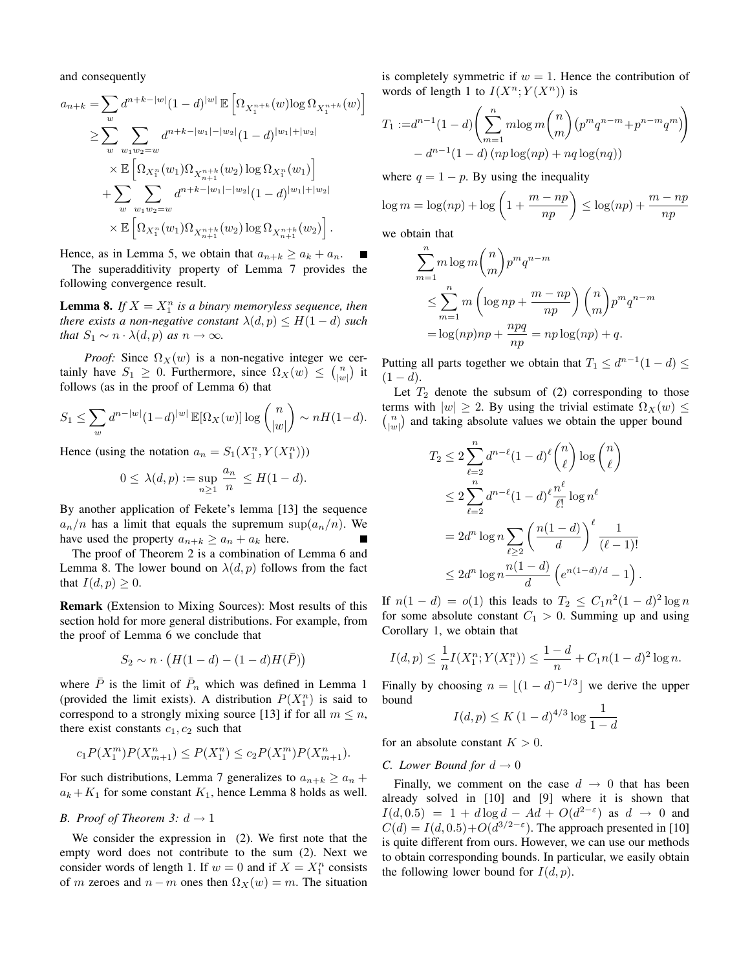and consequently

$$
a_{n+k} = \sum_{w} d^{n+k-|w|} (1-d)^{|w|} \mathbb{E} \left[ \Omega_{X_1^{n+k}}(w) \log \Omega_{X_1^{n+k}}(w) \right]
$$
  
\n
$$
\geq \sum_{w} \sum_{w_1w_2=w} d^{n+k-|w_1|-|w_2|} (1-d)^{|w_1|+|w_2|}
$$
  
\n
$$
\times \mathbb{E} \left[ \Omega_{X_1^n}(w_1) \Omega_{X_{n+1}^{n+k}}(w_2) \log \Omega_{X_1^n}(w_1) \right]
$$
  
\n
$$
+ \sum_{w} \sum_{w_1w_2=w} d^{n+k-|w_1|-|w_2|} (1-d)^{|w_1|+|w_2|}
$$
  
\n
$$
\times \mathbb{E} \left[ \Omega_{X_1^n}(w_1) \Omega_{X_{n+1}^{n+k}}(w_2) \log \Omega_{X_{n+1}^{n+k}}(w_2) \right].
$$

Hence, as in Lemma 5, we obtain that  $a_{n+k} \ge a_k + a_n$ .

The superadditivity property of Lemma 7 provides the following convergence result.

**Lemma 8.** If  $X = X_1^n$  is a binary memoryless sequence, then *there exists a non-negative constant*  $\lambda(d, p) \leq H(1-d)$  *such that*  $S_1 \sim n \cdot \lambda(d, p)$  *as*  $n \to \infty$ *.* 

*Proof:* Since  $\Omega_X(w)$  is a non-negative integer we certainly have  $S_1 \geq 0$ . Furthermore, since  $\Omega_X(w) \leq \binom{n}{|w|}$  it follows (as in the proof of Lemma 6) that

$$
S_1 \leq \sum_{w} d^{n-|w|} (1-d)^{|w|} \mathbb{E}[\Omega_X(w)] \log \binom{n}{|w|} \sim nH(1-d).
$$

Hence (using the notation  $a_n = S_1(X_1^n, Y(X_1^n)))$ 

$$
0 \leq \lambda(d, p) := \sup_{n \geq 1} \frac{a_n}{n} \leq H(1 - d).
$$

By another application of Fekete's lemma [13] the sequence  $a_n/n$  has a limit that equals the supremum sup $(a_n/n)$ . We have used the property  $a_{n+k} \ge a_n + a_k$  here.

The proof of Theorem 2 is a combination of Lemma 6 and Lemma 8. The lower bound on  $\lambda(d, p)$  follows from the fact that  $I(d, p) \geq 0$ .

Remark (Extension to Mixing Sources): Most results of this section hold for more general distributions. For example, from the proof of Lemma 6 we conclude that

$$
S_2 \sim n \cdot \left( H(1-d) - (1-d)H(\bar{P}) \right)
$$

where  $\bar{P}$  is the limit of  $\bar{P}_n$  which was defined in Lemma 1 (provided the limit exists). A distribution  $P(X_1^n)$  is said to correspond to a strongly mixing source [13] if for all  $m \leq n$ , there exist constants  $c_1$ ,  $c_2$  such that

$$
c_1 P(X_1^m) P(X_{m+1}^n) \le P(X_1^n) \le c_2 P(X_1^m) P(X_{m+1}^n).
$$

For such distributions, Lemma 7 generalizes to  $a_{n+k} \ge a_n + b_n$  $a_k + K_1$  for some constant  $K_1$ , hence Lemma 8 holds as well.

# *B. Proof of Theorem 3:*  $d \rightarrow 1$

We consider the expression in (2). We first note that the empty word does not contribute to the sum (2). Next we consider words of length 1. If  $w = 0$  and if  $X = X_1^n$  consists of m zeroes and  $n - m$  ones then  $\Omega_X(w) = m$ . The situation is completely symmetric if  $w = 1$ . Hence the contribution of words of length 1 to  $I(X^n; Y(X^n))$  is

$$
T_1 := d^{n-1}(1-d) \left( \sum_{m=1}^n m \log m \binom{n}{m} (p^m q^{n-m} + p^{n-m} q^m) \right) - d^{n-1}(1-d) (np \log(np) + nq \log(nq))
$$

where  $q = 1 - p$ . By using the inequality

$$
\log m = \log(np) + \log\left(1 + \frac{m - np}{np}\right) \le \log(np) + \frac{m - np}{np}
$$

we obtain that

$$
\sum_{m=1}^{n} m \log m \binom{n}{m} p^{m} q^{n-m}
$$
  
\n
$$
\leq \sum_{m=1}^{n} m \left( \log np + \frac{m - np}{np} \right) \binom{n}{m} p^{m} q^{n-m}
$$
  
\n
$$
= \log(np)np + \frac{npq}{np} = np \log(np) + q.
$$

Putting all parts together we obtain that  $T_1 \leq d^{n-1}(1-d) \leq$  $(1 - d).$ 

Let  $T_2$  denote the subsum of (2) corresponding to those terms with  $|w| \ge 2$ . By using the trivial estimate  $\Omega_X(w) \le$  $\binom{n}{|w|}$  and taking absolute values we obtain the upper bound

$$
T_2 \le 2 \sum_{\ell=2}^n d^{n-\ell} (1-d)^\ell {n \choose \ell} \log {n \choose \ell}
$$
  
\n
$$
\le 2 \sum_{\ell=2}^n d^{n-\ell} (1-d)^\ell \frac{n^\ell}{\ell!} \log n^\ell
$$
  
\n
$$
= 2d^n \log n \sum_{\ell \ge 2} \left( \frac{n(1-d)}{d} \right)^\ell \frac{1}{(\ell-1)!}
$$
  
\n
$$
\le 2d^n \log n \frac{n(1-d)}{d} \left( e^{n(1-d)/d} - 1 \right).
$$

If  $n(1-d) = o(1)$  this leads to  $T_2 \le C_1 n^2 (1-d)^2 \log n$ for some absolute constant  $C_1 > 0$ . Summing up and using Corollary 1, we obtain that

$$
I(d, p) \le \frac{1}{n} I(X_1^n; Y(X_1^n)) \le \frac{1-d}{n} + C_1 n(1-d)^2 \log n.
$$

Finally by choosing  $n = \lfloor (1 - d)^{-1/3} \rfloor$  we derive the upper bound

$$
I(d, p) \le K (1 - d)^{4/3} \log \frac{1}{1 - d}
$$

for an absolute constant  $K > 0$ .

## *C. Lower Bound for*  $d \rightarrow 0$

Finally, we comment on the case  $d \rightarrow 0$  that has been already solved in [10] and [9] where it is shown that  $I(d, 0.5) = 1 + d \log d - Ad + O(d^{2-\epsilon})$  as  $d \to 0$  and  $C(d) = I(d, 0.5) + O(d^{3/2-\epsilon})$ . The approach presented in [10] is quite different from ours. However, we can use our methods to obtain corresponding bounds. In particular, we easily obtain the following lower bound for  $I(d, p)$ .